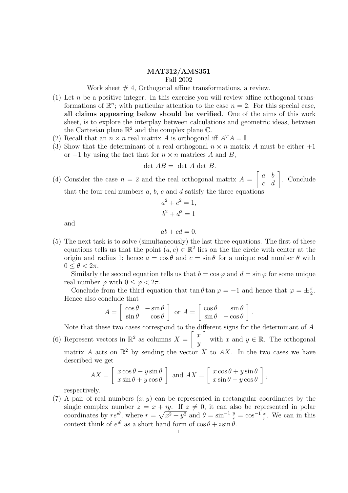## MAT312/AMS351 Fall 2002

Work sheet  $# 4$ , Orthogonal affine transformations, a review.

- (1) Let n be a positive integer. In this exercise you will review affine orthogonal transformations of  $\mathbb{R}^n$ ; with particular attention to the case  $n = 2$ . For this special case, all claims appearing below should be verified. One of the aims of this work sheet, is to explore the interplay between calculations and geometric ideas, between the Cartesian plane  $\mathbb{R}^2$  and the complex plane  $\mathbb{C}$ .
- (2) Recall that an  $n \times n$  real matrix A is orthogonal iff  $A^T A = I$ .
- (3) Show that the determinant of a real orthogonal  $n \times n$  matrix A must be either  $+1$ or  $-1$  by using the fact that for  $n \times n$  matrices A and B,

$$
\det AB = \det A \det B.
$$

(4) Consider the case  $n = 2$  and the real orthogonal matrix  $A =$  $\left[\begin{array}{cc} a & b \\ c & d \end{array}\right]$ . Conclude that the four real numbers  $a, b, c$  and  $d$  satisfy the three equations

$$
a2 + c2 = 1,
$$
  

$$
b2 + d2 = 1
$$

and

 $ab + cd = 0.$ 

(5) The next task is to solve (simultaneously) the last three equations. The first of these equations tells us that the point  $(a, c) \in \mathbb{R}^2$  lies on the the circle with center at the origin and radius 1; hence  $a = \cos \theta$  and  $c = \sin \theta$  for a unique real number  $\theta$  with  $0 \leq \theta < 2\pi$ .

Similarly the second equation tells us that  $b = \cos \varphi$  and  $d = \sin \varphi$  for some unique real number  $\varphi$  with  $0 \leq \varphi < 2\pi$ .

Conclude from the third equation that tan  $\theta$  tan  $\varphi = -1$  and hence that  $\varphi = \pm \frac{\pi}{2}$  $\frac{\pi}{2}$ . Hence also conclude that

$$
A = \begin{bmatrix} \cos \theta & -\sin \theta \\ \sin \theta & \cos \theta \end{bmatrix}
$$
 or 
$$
A = \begin{bmatrix} \cos \theta & \sin \theta \\ \sin \theta & -\cos \theta \end{bmatrix}.
$$

Note that these two cases correspond to the different signs for the determinant of A. (6) Represent vectors in  $\mathbb{R}^2$  as columns  $X = \begin{bmatrix} x \\ y \end{bmatrix}$  $\hat{y}$ with x and  $y \in \mathbb{R}$ . The orthogonal matrix A acts on  $\mathbb{R}^2$  by sending the vector  $\overrightarrow{X}$  to AX. In the two cases we have described we get

$$
AX = \begin{bmatrix} x\cos\theta - y\sin\theta \\ x\sin\theta + y\cos\theta \end{bmatrix}
$$
 and 
$$
AX = \begin{bmatrix} x\cos\theta + y\sin\theta \\ x\sin\theta - y\cos\theta \end{bmatrix}
$$
,

respectively.

(7) A pair of real numbers  $(x, y)$  can be represented in rectangular coordinates by the single complex number  $z = x + iy$ . If  $z \neq 0$ , it can also be represented in polar coordinates by  $re^{i\theta}$ , where  $r = \sqrt{x^2 + y^2}$  and  $\theta = \sin^{-1}\frac{y}{r} = \cos^{-1}\frac{x}{r}$ . We can in this context think of  $e^{i\theta}$  as a short hand form of  $\cos \theta + i \sin \theta$ .